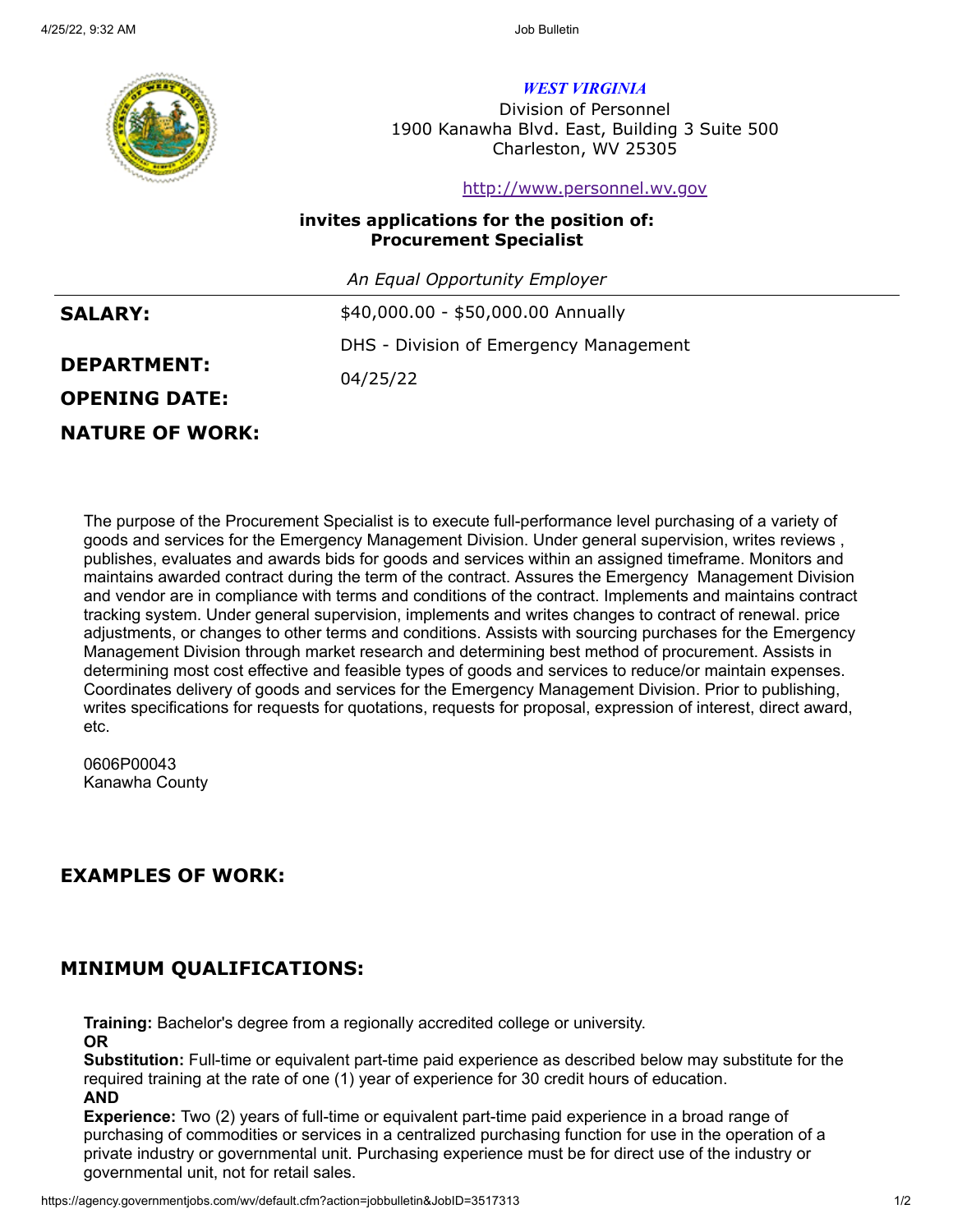

*WEST VIRGINIA*

Division of Personnel 1900 Kanawha Blvd. East, Building 3 Suite 500 Charleston, WV 25305

[http://www.personnel.wv.gov](http://www.personnel.wv.gov/)

### **invites applications for the position of: Procurement Specialist**

*An Equal Opportunity Employer*

| \$40,000.00 - \$50,000.00 Annually     |
|----------------------------------------|
| DHS - Division of Emergency Management |
| 04/25/22                               |
|                                        |
|                                        |

**NATURE OF WORK:**

The purpose of the Procurement Specialist is to execute full-performance level purchasing of a variety of goods and services for the Emergency Management Division. Under general supervision, writes reviews , publishes, evaluates and awards bids for goods and services within an assigned timeframe. Monitors and maintains awarded contract during the term of the contract. Assures the Emergency Management Division and vendor are in compliance with terms and conditions of the contract. Implements and maintains contract tracking system. Under general supervision, implements and writes changes to contract of renewal. price adjustments, or changes to other terms and conditions. Assists with sourcing purchases for the Emergency Management Division through market research and determining best method of procurement. Assists in determining most cost effective and feasible types of goods and services to reduce/or maintain expenses. Coordinates delivery of goods and services for the Emergency Management Division. Prior to publishing, writes specifications for requests for quotations, requests for proposal, expression of interest, direct award, etc.

0606P00043 Kanawha County

# **EXAMPLES OF WORK:**

# **MINIMUM QUALIFICATIONS:**

**Training:** Bachelor's degree from a regionally accredited college or university.

**OR**

**Substitution:** Full-time or equivalent part-time paid experience as described below may substitute for the required training at the rate of one (1) year of experience for 30 credit hours of education. **AND**

**Experience:** Two (2) years of full-time or equivalent part-time paid experience in a broad range of purchasing of commodities or services in a centralized purchasing function for use in the operation of a private industry or governmental unit. Purchasing experience must be for direct use of the industry or governmental unit, not for retail sales.